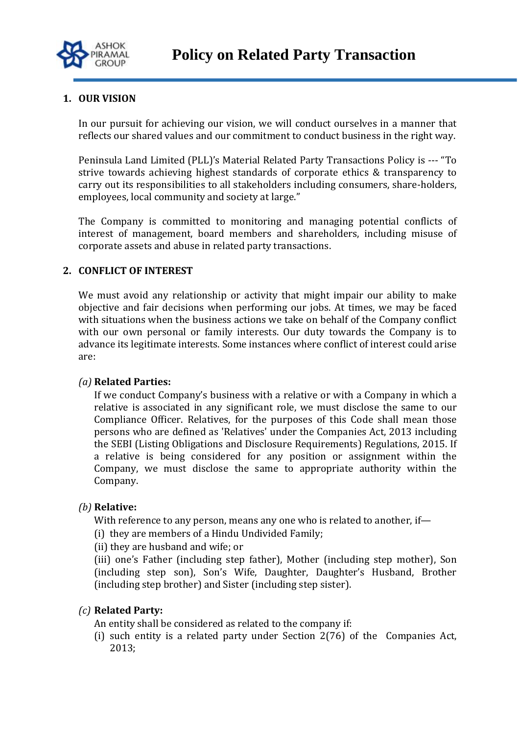

## **1. OUR VISION**

In our pursuit for achieving our vision, we will conduct ourselves in a manner that reflects our shared values and our commitment to conduct business in the right way.

Peninsula Land Limited (PLL)'s Material Related Party Transactions Policy is --- "To strive towards achieving highest standards of corporate ethics & transparency to carry out its responsibilities to all stakeholders including consumers, share-holders, employees, local community and society at large."

The Company is committed to monitoring and managing potential conflicts of interest of management, board members and shareholders, including misuse of corporate assets and abuse in related party transactions.

#### **2. CONFLICT OF INTEREST**

We must avoid any relationship or activity that might impair our ability to make objective and fair decisions when performing our jobs. At times, we may be faced with situations when the business actions we take on behalf of the Company conflict with our own personal or family interests. Our duty towards the Company is to advance its legitimate interests. Some instances where conflict of interest could arise are:

#### *(a)* **Related Parties:**

If we conduct Company's business with a relative or with a Company in which a relative is associated in any significant role, we must disclose the same to our Compliance Officer. Relatives, for the purposes of this Code shall mean those persons who are defined as 'Relatives' under the Companies Act, 2013 including the SEBI (Listing Obligations and Disclosure Requirements) Regulations, 2015. If a relative is being considered for any position or assignment within the Company, we must disclose the same to appropriate authority within the Company.

#### *(b)* **Relative:**

With reference to any person, means any one who is related to another, if-

- (i) they are members of a Hindu Undivided Family;
- (ii) they are husband and wife; or

(iii) one's Father (including step father), Mother (including step mother), Son (including step son), Son's Wife, Daughter, Daughter's Husband, Brother (including step brother) and Sister (including step sister).

#### *(c)* **Related Party:**

- An entity shall be considered as related to the company if:
- (i) such entity is a related party under Section 2(76) of the Companies Act, 2013;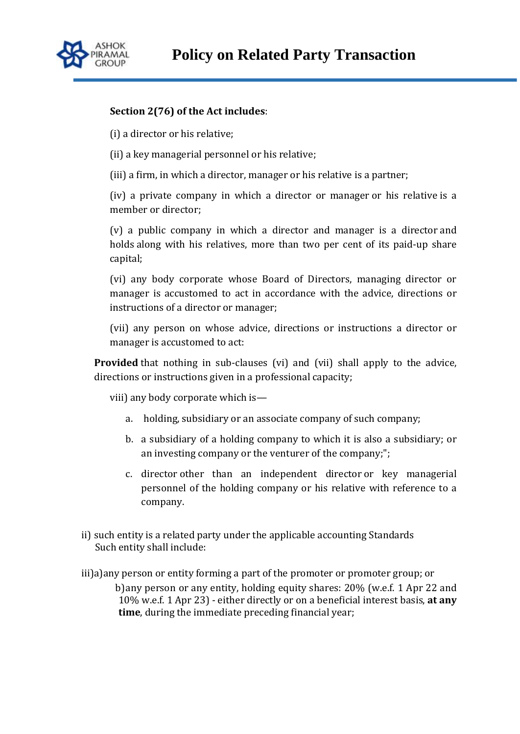

## **Section 2(76) of the Act includes**:

(i) a director or his relative;

(ii) a key managerial personnel or his relative;

(iii) a firm, in which a director, manager or his relative is a partner;

(iv) a private company in which a director or manager or his relative is a member or director;

(v) a public company in which a director and manager is a director and holds along with his relatives, more than two per cent of its paid-up share capital;

(vi) any body corporate whose Board of Directors, managing director or manager is accustomed to act in accordance with the advice, directions or instructions of a director or manager;

(vii) any person on whose advice, directions or instructions a director or manager is accustomed to act:

**Provided** that nothing in sub-clauses (vi) and (vii) shall apply to the advice, directions or instructions given in a professional capacity;

viii) any body corporate which is—

- a. holding, subsidiary or an associate company of such company;
- b. a subsidiary of a holding company to which it is also a subsidiary; or an investing company or the venturer of the company;";
- c. director other than an independent director or key managerial personnel of the holding company or his relative with reference to a company.
- ii) such entity is a related party under the applicable accounting Standards Such entity shall include:
- iii)a)any person or entity forming a part of the promoter or promoter group; or b)any person or any entity, holding equity shares: 20% (w.e.f. 1 Apr 22 and 10% w.e.f. 1 Apr 23) - either directly or on a beneficial interest basis, **at any time**, during the immediate preceding financial year;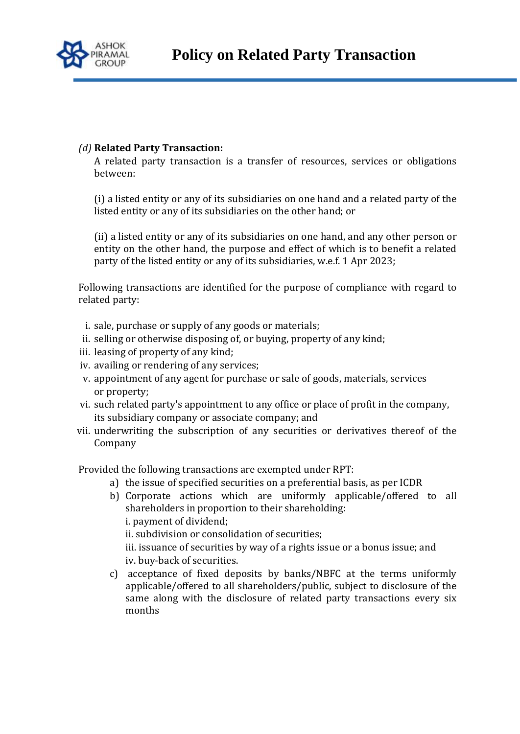

# *(d)* **Related Party Transaction:**

A related party transaction is a transfer of resources, services or obligations between:

(i) a listed entity or any of its subsidiaries on one hand and a related party of the listed entity or any of its subsidiaries on the other hand; or

(ii) a listed entity or any of its subsidiaries on one hand, and any other person or entity on the other hand, the purpose and effect of which is to benefit a related party of the listed entity or any of its subsidiaries, w.e.f. 1 Apr 2023;

Following transactions are identified for the purpose of compliance with regard to related party:

- i. sale, purchase or supply of any goods or materials;
- ii. selling or otherwise disposing of, or buying, property of any kind;
- iii. leasing of property of any kind;
- iv. availing or rendering of any services;
- v. appointment of any agent for purchase or sale of goods, materials, services or property;
- vi. such related party's appointment to any office or place of profit in the company, its subsidiary company or associate company; and
- vii. underwriting the subscription of any securities or derivatives thereof of the Company

Provided the following transactions are exempted under RPT:

- a) the issue of specified securities on a preferential basis, as per ICDR
- b) Corporate actions which are uniformly applicable/offered to all shareholders in proportion to their shareholding: i. payment of dividend; ii. subdivision or consolidation of securities; iii. issuance of securities by way of a rights issue or a bonus issue; and iv. buy-back of securities.
- c) acceptance of fixed deposits by banks/NBFC at the terms uniformly applicable/offered to all shareholders/public, subject to disclosure of the same along with the disclosure of related party transactions every six months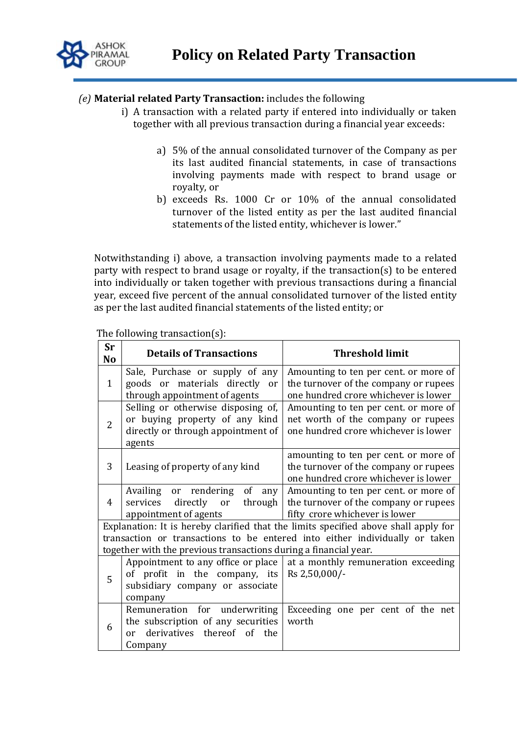

## *(e)* **Material related Party Transaction:** includes the following

- i) A transaction with a related party if entered into individually or taken together with all previous transaction during a financial year exceeds:
	- a) 5% of the annual consolidated turnover of the Company as per its last audited financial statements, in case of transactions involving payments made with respect to brand usage or royalty, or
	- b) exceeds Rs. 1000 Cr or 10% of the annual consolidated turnover of the listed entity as per the last audited financial statements of the listed entity, whichever is lower."

Notwithstanding i) above, a transaction involving payments made to a related party with respect to brand usage or royalty, if the transaction(s) to be entered into individually or taken together with previous transactions during a financial year, exceed five percent of the annual consolidated turnover of the listed entity as per the last audited financial statements of the listed entity; or

**Sr No Details of Transactions Threshold limit** 1 Sale, Purchase or supply of any goods or materials directly or through appointment of agents Amounting to ten per cent. or more of the turnover of the company or rupees one hundred crore whichever is lower 2 Selling or otherwise disposing of, or buying property of any kind directly or through appointment of agents Amounting to ten per cent. or more of net worth of the company or rupees one hundred crore whichever is lower 3 Leasing of property of any kind amounting to ten per cent. or more of the turnover of the company or rupees one hundred crore whichever is lower 4 Availing or rendering of any<br>services directly or through directly appointment of agents Amounting to ten per cent. or more of the turnover of the company or rupees fifty crore whichever is lower Explanation: It is hereby clarified that the limits specified above shall apply for transaction or transactions to be entered into either individually or taken together with the previous transactions during a financial year. 5 Appointment to any office or place of profit in the company, its subsidiary company or associate company at a monthly remuneration exceeding Rs 2,50,000/- 6 Remuneration for underwriting the subscription of any securities or derivatives thereof of the Company Exceeding one per cent of the net worth

The following transaction(s):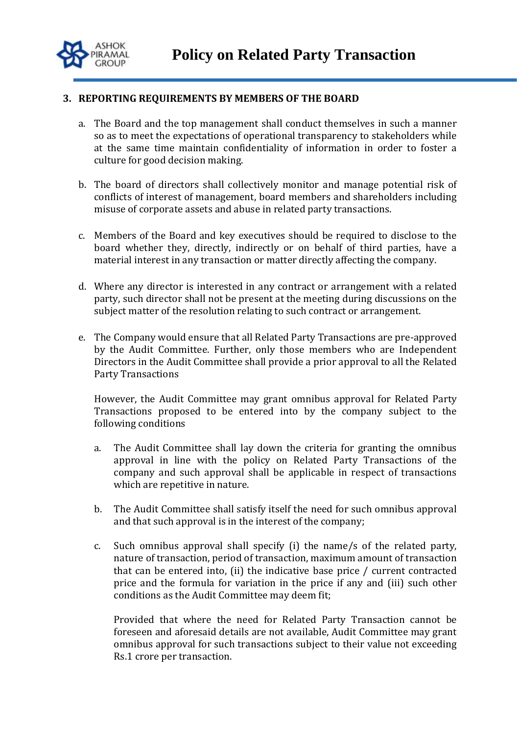

#### **3. REPORTING REQUIREMENTS BY MEMBERS OF THE BOARD**

- a. The Board and the top management shall conduct themselves in such a manner so as to meet the expectations of operational transparency to stakeholders while at the same time maintain confidentiality of information in order to foster a culture for good decision making.
- b. The board of directors shall collectively monitor and manage potential risk of conflicts of interest of management, board members and shareholders including misuse of corporate assets and abuse in related party transactions.
- c. Members of the Board and key executives should be required to disclose to the board whether they, directly, indirectly or on behalf of third parties, have a material interest in any transaction or matter directly affecting the company.
- d. Where any director is interested in any contract or arrangement with a related party, such director shall not be present at the meeting during discussions on the subject matter of the resolution relating to such contract or arrangement.
- e. The Company would ensure that all Related Party Transactions are pre-approved by the Audit Committee. Further, only those members who are Independent Directors in the Audit Committee shall provide a prior approval to all the Related Party Transactions

However, the Audit Committee may grant omnibus approval for Related Party Transactions proposed to be entered into by the company subject to the following conditions

- a. The Audit Committee shall lay down the criteria for granting the omnibus approval in line with the policy on Related Party Transactions of the company and such approval shall be applicable in respect of transactions which are repetitive in nature.
- b. The Audit Committee shall satisfy itself the need for such omnibus approval and that such approval is in the interest of the company;
- c. Such omnibus approval shall specify (i) the name/s of the related party, nature of transaction, period of transaction, maximum amount of transaction that can be entered into, (ii) the indicative base price / current contracted price and the formula for variation in the price if any and (iii) such other conditions as the Audit Committee may deem fit;

Provided that where the need for Related Party Transaction cannot be foreseen and aforesaid details are not available, Audit Committee may grant omnibus approval for such transactions subject to their value not exceeding Rs.1 crore per transaction.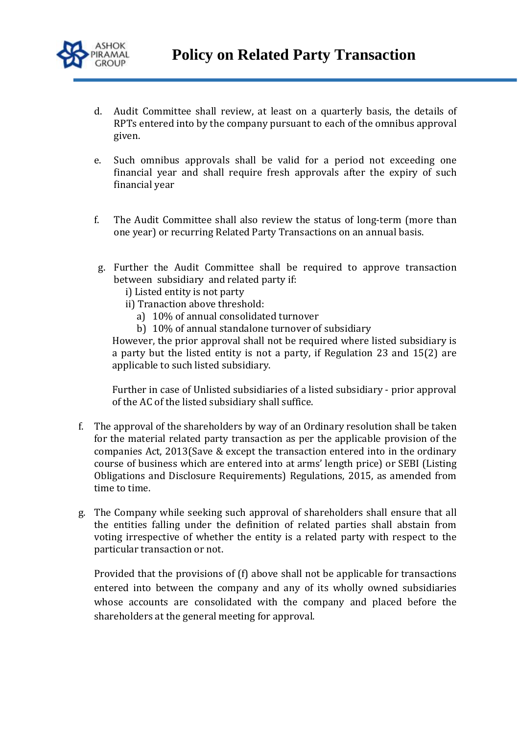

- d. Audit Committee shall review, at least on a quarterly basis, the details of RPTs entered into by the company pursuant to each of the omnibus approval given.
- e. Such omnibus approvals shall be valid for a period not exceeding one financial year and shall require fresh approvals after the expiry of such financial year
- f. The Audit Committee shall also review the status of long-term (more than one year) or recurring Related Party Transactions on an annual basis.
- g. Further the Audit Committee shall be required to approve transaction between subsidiary and related party if:
	- i) Listed entity is not party
	- ii) Tranaction above threshold:
		- a) 10% of annual consolidated turnover
		- b) 10% of annual standalone turnover of subsidiary

However, the prior approval shall not be required where listed subsidiary is a party but the listed entity is not a party, if Regulation 23 and 15(2) are applicable to such listed subsidiary.

Further in case of Unlisted subsidiaries of a listed subsidiary - prior approval of the AC of the listed subsidiary shall suffice.

- f. The approval of the shareholders by way of an Ordinary resolution shall be taken for the material related party transaction as per the applicable provision of the companies Act, 2013(Save & except the transaction entered into in the ordinary course of business which are entered into at arms' length price) or SEBI (Listing Obligations and Disclosure Requirements) Regulations, 2015, as amended from time to time.
- g. The Company while seeking such approval of shareholders shall ensure that all the entities falling under the definition of related parties shall abstain from voting irrespective of whether the entity is a related party with respect to the particular transaction or not.

Provided that the provisions of (f) above shall not be applicable for transactions entered into between the company and any of its wholly owned subsidiaries whose accounts are consolidated with the company and placed before the shareholders at the general meeting for approval.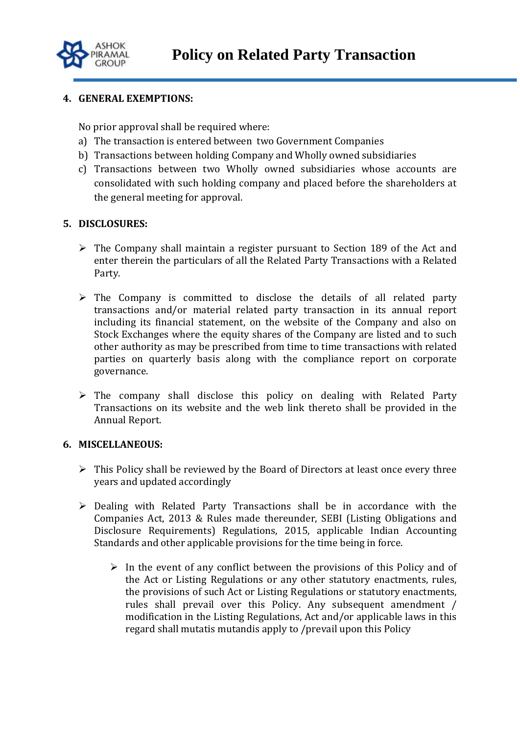

### **4. GENERAL EXEMPTIONS:**

No prior approval shall be required where:

- a) The transaction is entered between two Government Companies
- b) Transactions between holding Company and Wholly owned subsidiaries
- c) Transactions between two Wholly owned subsidiaries whose accounts are consolidated with such holding company and placed before the shareholders at the general meeting for approval.

### **5. DISCLOSURES:**

- $\triangleright$  The Company shall maintain a register pursuant to Section 189 of the Act and enter therein the particulars of all the Related Party Transactions with a Related Party.
- $\triangleright$  The Company is committed to disclose the details of all related party transactions and/or material related party transaction in its annual report including its financial statement, on the website of the Company and also on Stock Exchanges where the equity shares of the Company are listed and to such other authority as may be prescribed from time to time transactions with related parties on quarterly basis along with the compliance report on corporate governance.
- $\triangleright$  The company shall disclose this policy on dealing with Related Party Transactions on its website and the web link thereto shall be provided in the Annual Report.

### **6. MISCELLANEOUS:**

- $\triangleright$  This Policy shall be reviewed by the Board of Directors at least once every three years and updated accordingly
- $\triangleright$  Dealing with Related Party Transactions shall be in accordance with the Companies Act, 2013 & Rules made thereunder, SEBI (Listing Obligations and Disclosure Requirements) Regulations, 2015, applicable Indian Accounting Standards and other applicable provisions for the time being in force.
	- $\triangleright$  In the event of any conflict between the provisions of this Policy and of the Act or Listing Regulations or any other statutory enactments, rules, the provisions of such Act or Listing Regulations or statutory enactments, rules shall prevail over this Policy. Any subsequent amendment / modification in the Listing Regulations, Act and/or applicable laws in this regard shall mutatis mutandis apply to /prevail upon this Policy